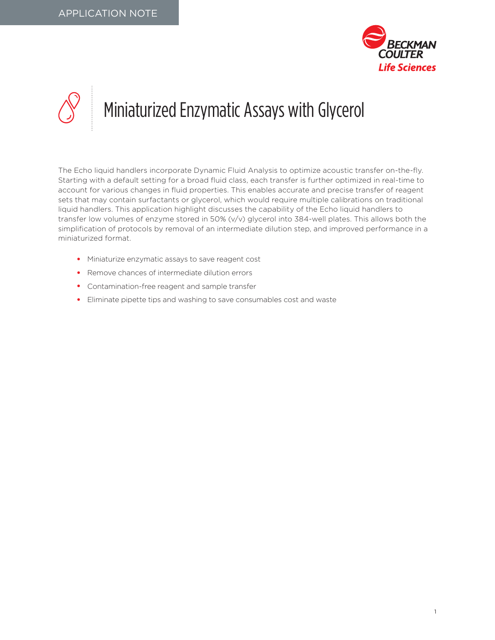

## Miniaturized Enzymatic Assays with Glycerol

The Echo liquid handlers incorporate Dynamic Fluid Analysis to optimize acoustic transfer on-the-fly. Starting with a default setting for a broad fluid class, each transfer is further optimized in real-time to account for various changes in fluid properties. This enables accurate and precise transfer of reagent sets that may contain surfactants or glycerol, which would require multiple calibrations on traditional liquid handlers. This application highlight discusses the capability of the Echo liquid handlers to transfer low volumes of enzyme stored in 50% (v/v) glycerol into 384-well plates. This allows both the simplification of protocols by removal of an intermediate dilution step, and improved performance in a miniaturized format.

- Miniaturize enzymatic assays to save reagent cost
- Remove chances of intermediate dilution errors
- Contamination-free reagent and sample transfer
- Eliminate pipette tips and washing to save consumables cost and waste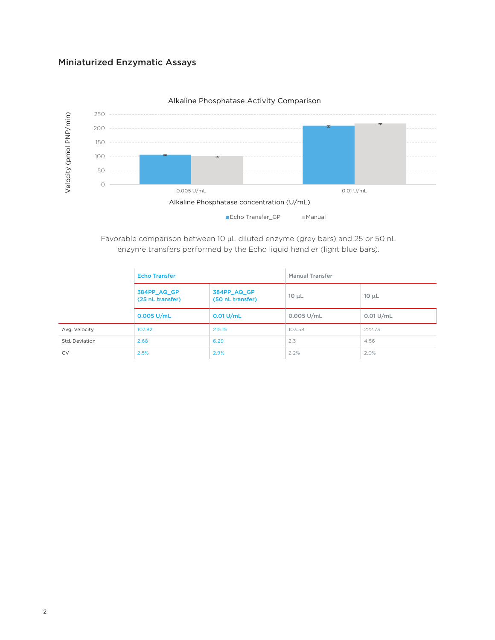## Miniaturized Enzymatic Assays



## Alkaline Phosphatase Activity Comparison

Favorable comparison between 10 μL diluted enzyme (grey bars) and 25 or 50 nL enzyme transfers performed by the Echo liquid handler (light blue bars).

|                | <b>Echo Transfer</b>            |                                 | <b>Manual Transfer</b> |             |
|----------------|---------------------------------|---------------------------------|------------------------|-------------|
|                | 384PP_AQ_GP<br>(25 nL transfer) | 384PP_AQ_GP<br>(50 nL transfer) | $10 \mu L$             | $10 \mu L$  |
|                | $0.005$ U/mL                    | $0.01$ U/mL                     | $0.005$ U/mL           | $0.01$ U/mL |
| Avg. Velocity  | 107.82                          | 215.15                          | 103.58                 | 222.73      |
| Std. Deviation | 2.68                            | 6.29                            | 2.3                    | 4.56        |
| <b>CV</b>      | 2.5%                            | 2.9%                            | 2.2%                   | 2.0%        |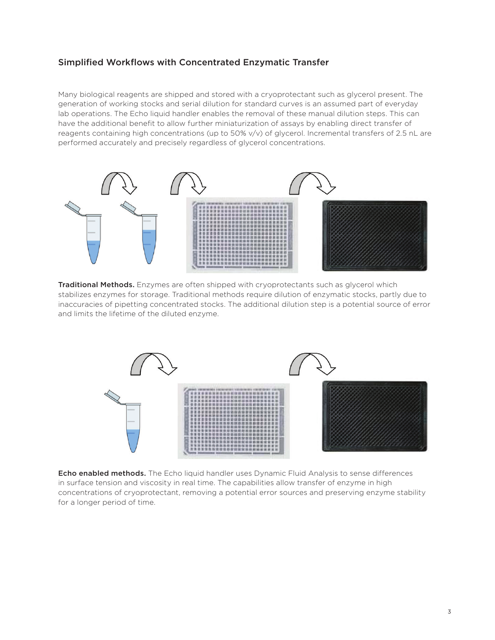## Simplified Workflows with Concentrated Enzymatic Transfer

Many biological reagents are shipped and stored with a cryoprotectant such as glycerol present. The generation of working stocks and serial dilution for standard curves is an assumed part of everyday lab operations. The Echo liquid handler enables the removal of these manual dilution steps. This can have the additional benefit to allow further miniaturization of assays by enabling direct transfer of reagents containing high concentrations (up to 50% v/v) of glycerol. Incremental transfers of 2.5 nL are performed accurately and precisely regardless of glycerol concentrations.



Traditional Methods. Enzymes are often shipped with cryoprotectants such as glycerol which stabilizes enzymes for storage. Traditional methods require dilution of enzymatic stocks, partly due to inaccuracies of pipetting concentrated stocks. The additional dilution step is a potential source of error and limits the lifetime of the diluted enzyme.



**Echo enabled methods.** The Echo liquid handler uses Dynamic Fluid Analysis to sense differences in surface tension and viscosity in real time. The capabilities allow transfer of enzyme in high concentrations of cryoprotectant, removing a potential error sources and preserving enzyme stability for a longer period of time.